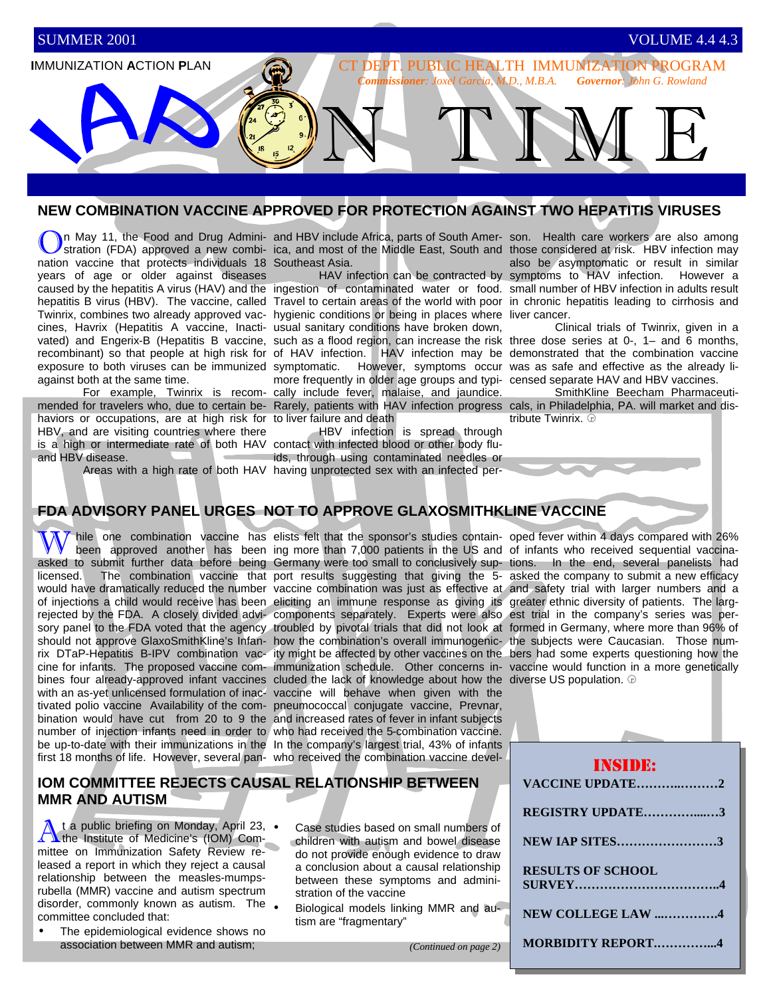

## **NEW COMBINATION VACCINE APPROVED FOR PROTECTION AGAINST TWO HEPATITIS VIRUSES**

nation vaccine that protects individuals 18 Southeast Asia. years of age or older against diseases Twinrix, combines two already approved vac-hygienic conditions or being in places where liver cancer. cines, Havrix (Hepatitis A vaccine, Inacti-usual sanitary conditions have broken down, vated) and Engerix-B (Hepatitis B vaccine, such as a flood region, can increase the risk three dose series at 0-, 1– and 6 months, recombinant) so that people at high risk for of HAV infection. HAV infection may be demonstrated that the combination vaccine exposure to both viruses can be immunized symptomatic. However, symptoms occur was as safe and effective as the already liagainst both at the same time.

 For example, Twinrix is recommended for travelers who, due to certain behaviors or occupations, are at high risk for to liver failure and death HBV, and are visiting countries where there is a high or intermediate rate of both HAV contact with infected blood or other body fluand HBV disease.

stration (FDA) approved a new combi- ica, and most of the Middle East, South and those considered at risk. HBV infection may

more frequently in older age groups and typi-censed separate HAV and HBV vaccines. cally include fever, malaise, and jaundice. Rarely, patients with HAV infection progress

 HBV infection is spread through ids, through using contaminated needles or

Areas with a high rate of both HAV having unprotected sex with an infected per-

On May 11, the Food and Drug Admini- and HBV include Africa, parts of South Amer- son. Health care workers are also among<br>
stration (FDA) approved a new combi- ica, and most of the Middle East, South and those considered a caused by the hepatitis A virus (HAV) and the ingestion of contaminated water or food. small number of HBV infection in adults result hepatitis B virus (HBV). The vaccine, called Travel to certain areas of the world with poor in chronic hepatitis leading to cirrhosis and HAV infection can be contracted by symptoms to HAV infection. However a also be asymptomatic or result in similar

Clinical trials of Twinrix, given in a

 SmithKline Beecham Pharmaceuticals, in Philadelphia, PA. will market and distribute Twinrix.  $<sup>6</sup>$ </sup>

## **FDA ADVISORY PANEL URGES NOT TO APPROVE GLAXOSMITHKLINE VACCINE**

W hile one combination vaccine has elists felt that the sponsor's studies contain- oped fever within 4 days compared with 26% been approved another has been ing more than 7,000 patients in the US and of infants who receive asked to submit further data before being Germany were too small to conclusively sup- tions. In the end, several panelists had licensed. The combination vaccine that port results suggesting that giving the 5- asked the company to submit a new efficacy would have dramatically reduced the number vaccine combination was just as effective at and safety trial with larger numbers and a of injections a child would receive has been eliciting an immune response as giving its greater ethnic diversity of patients. The largrejected by the FDA. A closely divided advi- components separately. Experts were also est trial in the company's series was pershould not approve GlaxoSmithKline's Infan- how the combination's overall immunogenic- the subjects were Caucasian. Those numrix DTaP-Hepatitis B-IPV combination vac-ity might be affected by other vaccines on the bers had some experts questioning how the cine for infants. The proposed vaccine com-immunization schedule. Other concerns in-vaccine would function in a more genetically bines four already-approved infant vaccines cluded the lack of knowledge about how the diverse US population.  $\oplus$ with an as-yet unlicensed formulation of inac-vaccine will behave when given with the tivated polio vaccine Availability of the com-pneumococcal conjugate vaccine, Prevnar, bination would have cut from 20 to 9 the and increased rates of fever in infant subjects number of injection infants need in order to who had received the 5-combination vaccine. be up-to-date with their immunizations in the In the company's largest trial, 43% of infants

first 18 months of life. However, several pan-who received the combination vaccine devel-

sory panel to the FDA voted that the agency troubled by pivotal trials that did not look at formed in Germany, where more than 96% of elists felt that the sponsor's studies contain-oped fever within 4 days compared with 26%

## **IOM COMMITTEE REJECTS CAUSAL RELATIONSHIP BETWEEN MMR AND AUTISM**

A t a public briefing on Monday, April 23,<br>the Institute of Medicine's (IOM) Comt a public briefing on Monday, April 23, . mittee on Immunization Safety Review released a report in which they reject a causal relationship between the measles-mumpsrubella (MMR) vaccine and autism spectrum disorder, commonly known as autism. The committee concluded that:

- The epidemiological evidence shows no association between MMR and autism;
- Case studies based on small numbers of children with autism and bowel disease do not provide enough evidence to draw a conclusion about a causal relationship between these symptoms and administration of the vaccine
- Biological models linking MMR and autism are "fragmentary"

*(Continued on page 2)*

| INSIDE                   |  |  |
|--------------------------|--|--|
| VACCINE UPDATE2          |  |  |
| <b>REGISTRY UPDATE3</b>  |  |  |
| <b>NEW IAP SITES3</b>    |  |  |
| <b>RESULTS OF SCHOOL</b> |  |  |
|                          |  |  |
| NEW COLLEGE LAW 4        |  |  |
| <b>MORBIDITY REPORT4</b> |  |  |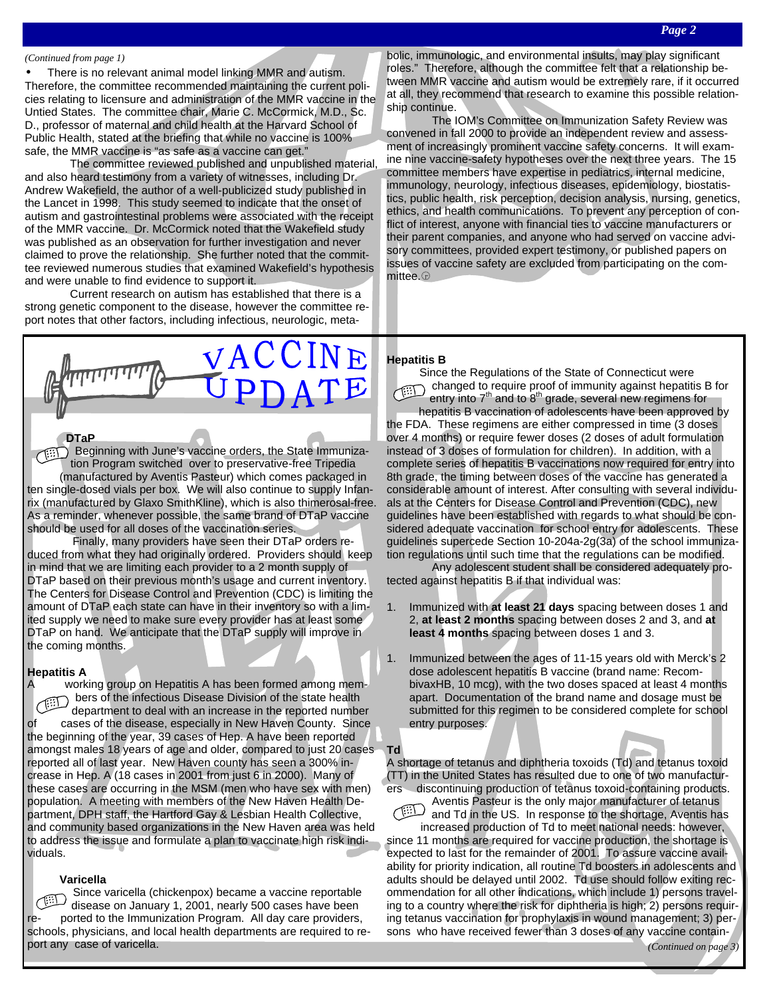#### *(Continued from page 1)*

• There is no relevant animal model linking MMR and autism. Therefore, the committee recommended maintaining the current policies relating to licensure and administration of the MMR vaccine in the Untied States. The committee chair, Marie C. McCormick, M.D., Sc. D., professor of maternal and child health at the Harvard School of Public Health, stated at the briefing that while no vaccine is 100% safe, the MMR vaccine is "as safe as a vaccine can get."

 The committee reviewed published and unpublished material, and also heard testimony from a variety of witnesses, including Dr. Andrew Wakefield, the author of a well-publicized study published in the Lancet in 1998. This study seemed to indicate that the onset of autism and gastrointestinal problems were associated with the receipt of the MMR vaccine. Dr. McCormick noted that the Wakefield study was published as an observation for further investigation and never claimed to prove the relationship. She further noted that the committee reviewed numerous studies that examined Wakefield's hypothesis and were unable to find evidence to support it.

 Current research on autism has established that there is a strong genetic component to the disease, however the committee report notes that other factors, including infectious, neurologic, meta-



### **DTaP**

Beginning with June's vaccine orders, the State Immunization Program switched over to preservative-free Tripedia (manufactured by Aventis Pasteur) which comes packaged in ten single-dosed vials per box. We will also continue to supply Infanrix (manufactured by Glaxo SmithKline), which is also thimerosal-free. As a reminder, whenever possible, the same brand of DTaP vaccine should be used for all doses of the vaccination series.

 Finally, many providers have seen their DTaP orders reduced from what they had originally ordered. Providers should keep in mind that we are limiting each provider to a 2 month supply of DTaP based on their previous month's usage and current inventory. The Centers for Disease Control and Prevention (CDC) is limiting the amount of DTaP each state can have in their inventory so with a limited supply we need to make sure every provider has at least some DTaP on hand. We anticipate that the DTaP supply will improve in the coming months.

### **Hepatitis A**

working group on Hepatitis A has been formed among members of the infectious Disease Division of the state health **E** department to deal with an increase in the reported number of cases of the disease, especially in New Haven County. Since the beginning of the year, 39 cases of Hep. A have been reported amongst males 18 years of age and older, compared to just 20 cases reported all of last year. New Haven county has seen a 300% increase in Hep. A (18 cases in 2001 from just 6 in 2000). Many of these cases are occurring in the MSM (men who have sex with men) population. A meeting with members of the New Haven Health Department, DPH staff, the Hartford Gay & Lesbian Health Collective, and community based organizations in the New Haven area was held to address the issue and formulate a plan to vaccinate high risk individuals.

#### **Varicella**

Since varicella (chickenpox) became a vaccine reportable disease on January 1, 2001, nearly 500 cases have been re- ported to the Immunization Program. All day care providers, schools, physicians, and local health departments are required to report any case of varicella.

bolic, immunologic, and environmental insults, may play significant roles." Therefore, although the committee felt that a relationship between MMR vaccine and autism would be extremely rare, if it occurred at all, they recommend that research to examine this possible relationship continue.

 The IOM's Committee on Immunization Safety Review was convened in fall 2000 to provide an independent review and assessment of increasingly prominent vaccine safety concerns. It will examine nine vaccine-safety hypotheses over the next three years. The 15 committee members have expertise in pediatrics, internal medicine, immunology, neurology, infectious diseases, epidemiology, biostatistics, public health, risk perception, decision analysis, nursing, genetics, ethics, and health communications. To prevent any perception of conflict of interest, anyone with financial ties to vaccine manufacturers or their parent companies, and anyone who had served on vaccine advisory committees, provided expert testimony, or published papers on issues of vaccine safety are excluded from participating on the committee.<sup>@</sup>

### **Hepatitis B**

Since the Regulations of the State of Connecticut were changed to require proof of immunity against hepatitis B for entry into  $7<sup>th</sup>$  and to  $8<sup>th</sup>$  grade, several new regimens for

hepatitis B vaccination of adolescents have been approved by the FDA. These regimens are either compressed in time (3 doses over 4 months) or require fewer doses (2 doses of adult formulation instead of 3 doses of formulation for children). In addition, with a complete series of hepatitis B vaccinations now required for entry into 8th grade, the timing between doses of the vaccine has generated a considerable amount of interest. After consulting with several individuals at the Centers for Disease Control and Prevention (CDC), new guidelines have been established with regards to what should be considered adequate vaccination for school entry for adolescents. These guidelines supercede Section 10-204a-2g(3a) of the school immunization regulations until such time that the regulations can be modified.

 Any adolescent student shall be considered adequately protected against hepatitis B if that individual was:

- 1. Immunized with **at least 21 days** spacing between doses 1 and 2, **at least 2 months** spacing between doses 2 and 3, and **at least 4 months** spacing between doses 1 and 3.
- 1. Immunized between the ages of 11-15 years old with Merck's 2 dose adolescent hepatitis B vaccine (brand name: RecombivaxHB, 10 mcg), with the two doses spaced at least 4 months apart. Documentation of the brand name and dosage must be submitted for this regimen to be considered complete for school entry purposes.

### **Td**

A shortage of tetanus and diphtheria toxoids (Td) and tetanus toxoid (TT) in the United States has resulted due to one of two manufacturers discontinuing production of tetanus toxoid-containing products.

Aventis Pasteur is the only major manufacturer of tetanus  $\bigoplus$ and Td in the US. In response to the shortage, Aventis has

increased production of Td to meet national needs: however, since 11 months are required for vaccine production, the shortage is expected to last for the remainder of 2001. To assure vaccine availability for priority indication, all routine Td boosters in adolescents and adults should be delayed until 2002. Td use should follow exiting recommendation for all other indications, which include 1) persons traveling to a country where the risk for diphtheria is high; 2) persons requiring tetanus vaccination for prophylaxis in wound management; 3) persons who have received fewer than 3 doses of any vaccine contain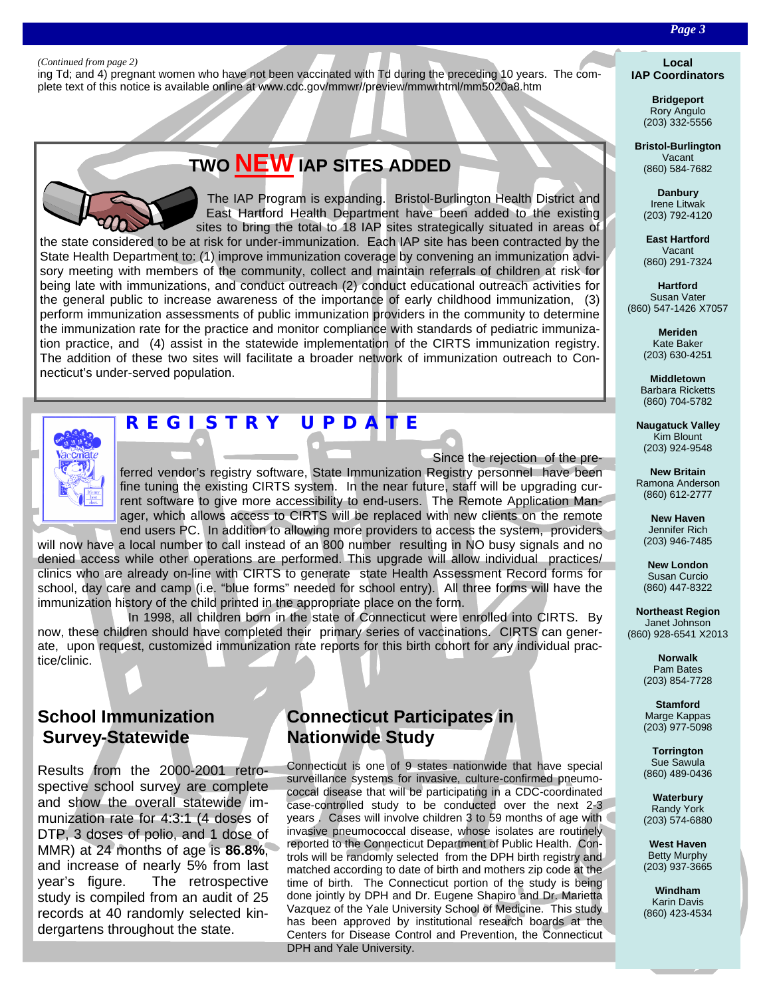*(Continued from page 2)*

ing Td; and 4) pregnant women who have not been vaccinated with Td during the preceding 10 years. The complete text of this notice is available online at www.cdc.gov/mmwr//preview/mmwrhtml/mm5020a8.htm

# **TWO NEW IAP SITES ADDED**

The IAP Program is expanding. Bristol-Burlington Health District and East Hartford Health Department have been added to the existing sites to bring the total to 18 IAP sites strategically situated in areas of the state considered to be at risk for under-immunization. Each IAP site has been contracted by the State Health Department to: (1) improve immunization coverage by convening an immunization advisory meeting with members of the community, collect and maintain referrals of children at risk for being late with immunizations, and conduct outreach (2) conduct educational outreach activities for the general public to increase awareness of the importance of early childhood immunization, (3) perform immunization assessments of public immunization providers in the community to determine the immunization rate for the practice and monitor compliance with standards of pediatric immunization practice, and (4) assist in the statewide implementation of the CIRTS immunization registry. The addition of these two sites will facilitate a broader network of immunization outreach to Connecticut's under-served population.

# **REGISTRY UPDATE**

Since the rejection of the pre-

ferred vendor's registry software, State Immunization Registry personnel have been fine tuning the existing CIRTS system. In the near future, staff will be upgrading current software to give more accessibility to end-users. The Remote Application Manager, which allows access to CIRTS will be replaced with new clients on the remote end users PC. In addition to allowing more providers to access the system, providers

will now have a local number to call instead of an 800 number resulting in NO busy signals and no denied access while other operations are performed. This upgrade will allow individual practices/ clinics who are already on-line with CIRTS to generate state Health Assessment Record forms for school, day care and camp (i.e. "blue forms" needed for school entry). All three forms will have the immunization history of the child printed in the appropriate place on the form.

 In 1998, all children born in the state of Connecticut were enrolled into CIRTS. By now, these children should have completed their primary series of vaccinations. CIRTS can generate, upon request, customized immunization rate reports for this birth cohort for any individual practice/clinic.

# **School Immunization Survey-Statewide**

Results from the 2000-2001 retrospective school survey are complete and show the overall statewide immunization rate for 4:3:1 (4 doses of DTP, 3 doses of polio, and 1 dose of MMR) at 24 months of age is **86.8%**, and increase of nearly 5% from last year's figure. The retrospective study is compiled from an audit of 25 records at 40 randomly selected kindergartens throughout the state.

## **Connecticut Participates in Nationwide Study**

Connecticut is one of 9 states nationwide that have special surveillance systems for invasive, culture-confirmed pneumococcal disease that will be participating in a CDC-coordinated case-controlled study to be conducted over the next 2-3 years . Cases will involve children 3 to 59 months of age with invasive pneumococcal disease, whose isolates are routinely reported to the Connecticut Department of Public Health. Controls will be randomly selected from the DPH birth registry and matched according to date of birth and mothers zip code at the time of birth. The Connecticut portion of the study is being done jointly by DPH and Dr. Eugene Shapiro and Dr. Marietta Vazquez of the Yale University School of Medicine. This study has been approved by institutional research boards at the Centers for Disease Control and Prevention, the Connecticut DPH and Yale University.

### **Local IAP Coordinators**

**Bridgeport** Rory Angulo (203) 332-5556

**Bristol-Burlington** Vacant (860) 584-7682

**Danbury** Irene Litwak (203) 792-4120

**East Hartford** Vacant (860) 291-7324

**Hartford** Susan Vater (860) 547-1426 X7057

> **Meriden** Kate Baker (203) 630-4251

**Middletown** Barbara Ricketts (860) 704-5782

**Naugatuck Valley** Kim Blount (203) 924-9548

**New Britain** Ramona Anderson (860) 612-2777

**New Haven** Jennifer Rich (203) 946-7485

**New London** Susan Curcio (860) 447-8322

**Northeast Region** Janet Johnson (860) 928-6541 X2013

> **Norwalk** Pam Bates (203) 854-7728

**Stamford** Marge Kappas (203) 977-5098

**Torrington** Sue Sawula (860) 489-0436

**Waterbury** Randy York (203) 574-6880

**West Haven** Betty Murphy (203) 937-3665

**Windham** Karin Davis (860) 423-4534

### *Page 3*